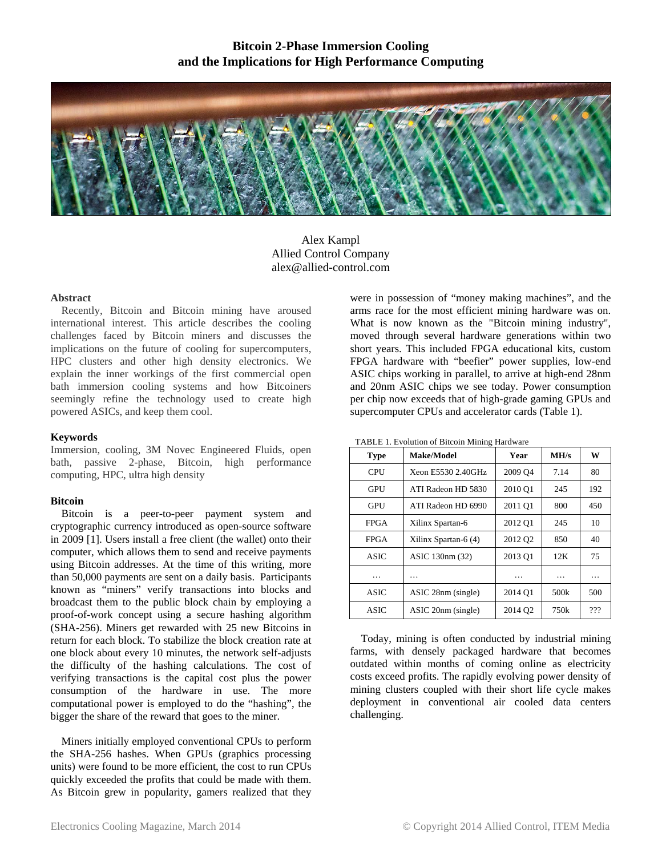# **Bitcoin 2-Phase Immersion Cooling and the Implications for High Performance Computing**



Alex Kampl Allied Control Company alex@allied-control.com

### **Abstract**

Recently, Bitcoin and Bitcoin mining have aroused international interest. This article describes the cooling challenges faced by Bitcoin miners and discusses the implications on the future of cooling for supercomputers, HPC clusters and other high density electronics. We explain the inner workings of the first commercial open bath immersion cooling systems and how Bitcoiners seemingly refine the technology used to create high powered ASICs, and keep them cool.

# **Keywords**

Immersion, cooling, 3M Novec Engineered Fluids, open bath, passive 2-phase, Bitcoin, high performance computing, HPC, ultra high density

# **Bitcoin**

Bitcoin is a peer-to-peer payment system and cryptographic currency introduced as open-source software in 2009 [1]. Users install a free client (the wallet) onto their computer, which allows them to send and receive payments using Bitcoin addresses. At the time of this writing, more than 50,000 payments are sent on a daily basis. Participants known as "miners" verify transactions into blocks and broadcast them to the public block chain by employing a proof-of-work concept using a secure hashing algorithm (SHA-256). Miners get rewarded with 25 new Bitcoins in return for each block. To stabilize the block creation rate at one block about every 10 minutes, the network self-adjusts the difficulty of the hashing calculations. The cost of verifying transactions is the capital cost plus the power consumption of the hardware in use. The more computational power is employed to do the "hashing", the bigger the share of the reward that goes to the miner.

Miners initially employed conventional CPUs to perform the SHA-256 hashes. When GPUs (graphics processing units) were found to be more efficient, the cost to run CPUs quickly exceeded the profits that could be made with them. As Bitcoin grew in popularity, gamers realized that they

were in possession of "money making machines", and the arms race for the most efficient mining hardware was on. What is now known as the "Bitcoin mining industry", moved through several hardware generations within two short years. This included FPGA educational kits, custom FPGA hardware with "beefier" power supplies, low-end ASIC chips working in parallel, to arrive at high-end 28nm and 20nm ASIC chips we see today. Power consumption per chip now exceeds that of high-grade gaming GPUs and supercomputer CPUs and accelerator cards (Table 1).

| TABLE 1. Evolution of Bitcoin Mining Hardware |  |  |
|-----------------------------------------------|--|--|
|                                               |  |  |

| <b>Type</b> | Make/Model           | Year                | MH/s             | W   |
|-------------|----------------------|---------------------|------------------|-----|
| <b>CPU</b>  | Xeon E5530 2.40GHz   | 2009 O <sub>4</sub> | 7.14             | 80  |
| GPU         | ATI Radeon HD 5830   | 2010 O1             | 245              | 192 |
| <b>GPU</b>  | ATI Radeon HD 6990   | 2011 O1             | 800              | 450 |
| <b>FPGA</b> | Xilinx Spartan-6     | 2012 Q1             | 245              | 10  |
| <b>FPGA</b> | Xilinx Spartan-6 (4) | 2012 Q2             | 850              | 40  |
| <b>ASIC</b> | ASIC 130nm (32)      | 2013 O1             | 12K              | 75  |
| .           | .                    | .                   | .                | .   |
| <b>ASIC</b> | ASIC 28nm (single)   | 2014 Q1             | 500k             | 500 |
| <b>ASIC</b> | ASIC 20nm (single)   | 2014 Q2             | 750 <sub>k</sub> | ??? |

Today, mining is often conducted by industrial mining farms, with densely packaged hardware that becomes outdated within months of coming online as electricity costs exceed profits. The rapidly evolving power density of mining clusters coupled with their short life cycle makes deployment in conventional air cooled data centers challenging.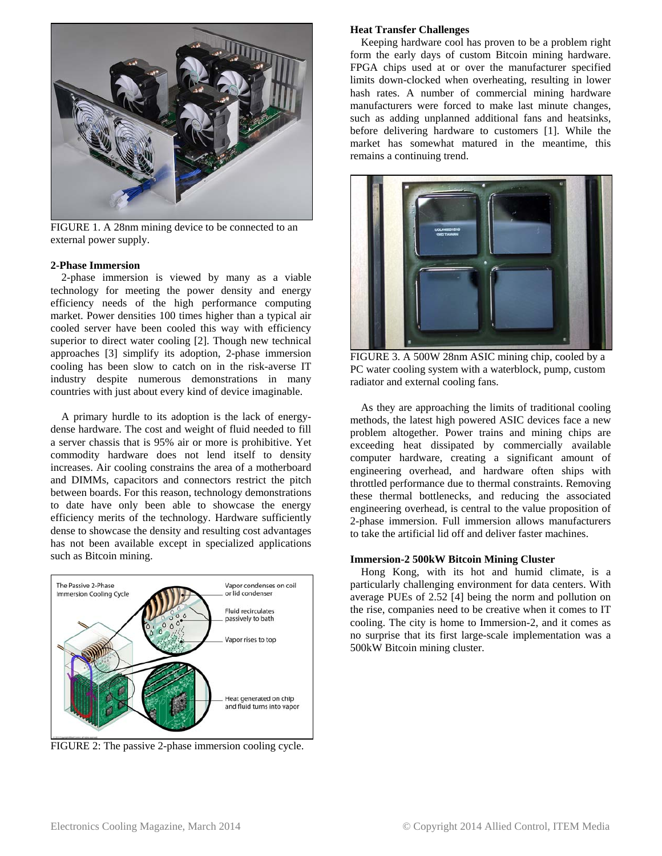

FIGURE 1. A 28nm mining device to be connected to an external power supply.

### **2-Phase Immersion**

2-phase immersion is viewed by many as a viable technology for meeting the power density and energy efficiency needs of the high performance computing market. Power densities 100 times higher than a typical air cooled server have been cooled this way with efficiency superior to direct water cooling [2]. Though new technical approaches [3] simplify its adoption, 2-phase immersion cooling has been slow to catch on in the risk-averse IT industry despite numerous demonstrations in many countries with just about every kind of device imaginable.

A primary hurdle to its adoption is the lack of energydense hardware. The cost and weight of fluid needed to fill a server chassis that is 95% air or more is prohibitive. Yet commodity hardware does not lend itself to density increases. Air cooling constrains the area of a motherboard and DIMMs, capacitors and connectors restrict the pitch between boards. For this reason, technology demonstrations to date have only been able to showcase the energy efficiency merits of the technology. Hardware sufficiently dense to showcase the density and resulting cost advantages has not been available except in specialized applications such as Bitcoin mining.



FIGURE 2: The passive 2-phase immersion cooling cycle.

### **Heat Transfer Challenges**

Keeping hardware cool has proven to be a problem right form the early days of custom Bitcoin mining hardware. FPGA chips used at or over the manufacturer specified limits down-clocked when overheating, resulting in lower hash rates. A number of commercial mining hardware manufacturers were forced to make last minute changes, such as adding unplanned additional fans and heatsinks, before delivering hardware to customers [1]. While the market has somewhat matured in the meantime, this remains a continuing trend.



FIGURE 3. A 500W 28nm ASIC mining chip, cooled by a PC water cooling system with a waterblock, pump, custom radiator and external cooling fans.

As they are approaching the limits of traditional cooling methods, the latest high powered ASIC devices face a new problem altogether. Power trains and mining chips are exceeding heat dissipated by commercially available computer hardware, creating a significant amount of engineering overhead, and hardware often ships with throttled performance due to thermal constraints. Removing these thermal bottlenecks, and reducing the associated engineering overhead, is central to the value proposition of 2-phase immersion. Full immersion allows manufacturers to take the artificial lid off and deliver faster machines.

### **Immersion-2 500kW Bitcoin Mining Cluster**

Hong Kong, with its hot and humid climate, is a particularly challenging environment for data centers. With average PUEs of 2.52 [4] being the norm and pollution on the rise, companies need to be creative when it comes to IT cooling. The city is home to Immersion-2, and it comes as no surprise that its first large-scale implementation was a 500kW Bitcoin mining cluster.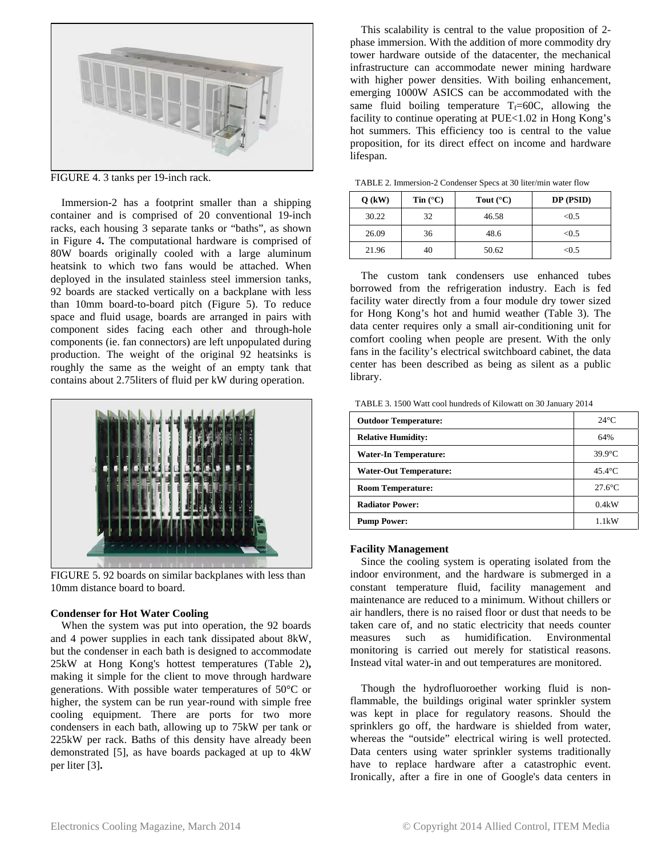

FIGURE 4. 3 tanks per 19-inch rack.

Immersion-2 has a footprint smaller than a shipping container and is comprised of 20 conventional 19-inch racks, each housing 3 separate tanks or "baths", as shown in Figure 4**.** The computational hardware is comprised of 80W boards originally cooled with a large aluminum heatsink to which two fans would be attached. When deployed in the insulated stainless steel immersion tanks, 92 boards are stacked vertically on a backplane with less than 10mm board-to-board pitch (Figure 5). To reduce space and fluid usage, boards are arranged in pairs with component sides facing each other and through-hole components (ie. fan connectors) are left unpopulated during production. The weight of the original 92 heatsinks is roughly the same as the weight of an empty tank that contains about 2.75liters of fluid per kW during operation.



FIGURE 5. 92 boards on similar backplanes with less than 10mm distance board to board.

# **Condenser for Hot Water Cooling**

When the system was put into operation, the 92 boards and 4 power supplies in each tank dissipated about 8kW, but the condenser in each bath is designed to accommodate 25kW at Hong Kong's hottest temperatures (Table 2)**,** making it simple for the client to move through hardware generations. With possible water temperatures of 50°C or higher, the system can be run year-round with simple free cooling equipment. There are ports for two more condensers in each bath, allowing up to 75kW per tank or 225kW per rack. Baths of this density have already been demonstrated [5], as have boards packaged at up to 4kW per liter [3]**.** 

This scalability is central to the value proposition of 2 phase immersion. With the addition of more commodity dry tower hardware outside of the datacenter, the mechanical infrastructure can accommodate newer mining hardware with higher power densities. With boiling enhancement, emerging 1000W ASICS can be accommodated with the same fluid boiling temperature  $T_f=60C$ , allowing the facility to continue operating at PUE<1.02 in Hong Kong's hot summers. This efficiency too is central to the value proposition, for its direct effect on income and hardware lifespan.

TABLE 2. Immersion-2 Condenser Specs at 30 liter/min water flow

| $Q$ (kW) | Tin $(^{\circ}C)$ | Tout $(^{\circ}C)$ | $DP$ ( $PSID$ ) |
|----------|-------------------|--------------------|-----------------|
| 30.22    | 32                | 46.58              | < 0.5           |
| 26.09    | 36                | 48.6               | < 0.5           |
| 21.96    | 40                | 50.62              | < 0.5           |

The custom tank condensers use enhanced tubes borrowed from the refrigeration industry. Each is fed facility water directly from a four module dry tower sized for Hong Kong's hot and humid weather (Table 3). The data center requires only a small air-conditioning unit for comfort cooling when people are present. With the only fans in the facility's electrical switchboard cabinet, the data center has been described as being as silent as a public library.

TABLE 3. 1500 Watt cool hundreds of Kilowatt on 30 January 2014

| <b>Outdoor Temperature:</b>   | $24^{\circ}$ C   |
|-------------------------------|------------------|
| <b>Relative Humidity:</b>     | 64%              |
| Water-In Temperature:         | $39.9^{\circ}$ C |
| <b>Water-Out Temperature:</b> | $45.4^{\circ}$ C |
| <b>Room Temperature:</b>      | $27.6$ °C        |
| <b>Radiator Power:</b>        | 0.4kW            |
| <b>Pump Power:</b>            | 1.1kW            |

#### **Facility Management**

Since the cooling system is operating isolated from the indoor environment, and the hardware is submerged in a constant temperature fluid, facility management and maintenance are reduced to a minimum. Without chillers or air handlers, there is no raised floor or dust that needs to be taken care of, and no static electricity that needs counter measures such as humidification. Environmental monitoring is carried out merely for statistical reasons. Instead vital water-in and out temperatures are monitored.

Though the hydrofluoroether working fluid is nonflammable, the buildings original water sprinkler system was kept in place for regulatory reasons. Should the sprinklers go off, the hardware is shielded from water, whereas the "outside" electrical wiring is well protected. Data centers using water sprinkler systems traditionally have to replace hardware after a catastrophic event. Ironically, after a fire in one of Google's data centers in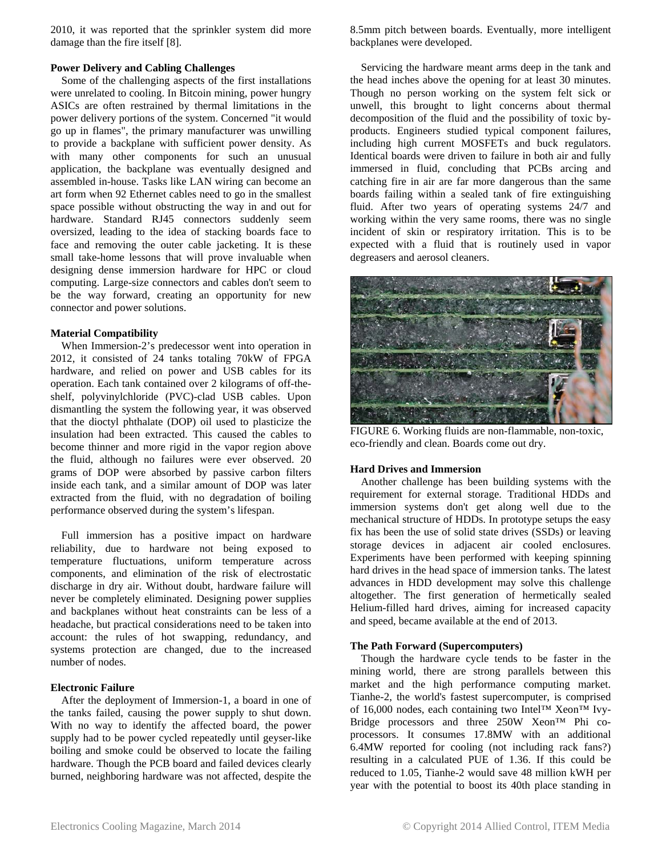2010, it was reported that the sprinkler system did more damage than the fire itself [8].

# **Power Delivery and Cabling Challenges**

Some of the challenging aspects of the first installations were unrelated to cooling. In Bitcoin mining, power hungry ASICs are often restrained by thermal limitations in the power delivery portions of the system. Concerned "it would go up in flames", the primary manufacturer was unwilling to provide a backplane with sufficient power density. As with many other components for such an unusual application, the backplane was eventually designed and assembled in-house. Tasks like LAN wiring can become an art form when 92 Ethernet cables need to go in the smallest space possible without obstructing the way in and out for hardware. Standard RJ45 connectors suddenly seem oversized, leading to the idea of stacking boards face to face and removing the outer cable jacketing. It is these small take-home lessons that will prove invaluable when designing dense immersion hardware for HPC or cloud computing. Large-size connectors and cables don't seem to be the way forward, creating an opportunity for new connector and power solutions.

# **Material Compatibility**

When Immersion-2's predecessor went into operation in 2012, it consisted of 24 tanks totaling 70kW of FPGA hardware, and relied on power and USB cables for its operation. Each tank contained over 2 kilograms of off-theshelf, polyvinylchloride (PVC)-clad USB cables. Upon dismantling the system the following year, it was observed that the dioctyl phthalate (DOP) oil used to plasticize the insulation had been extracted. This caused the cables to become thinner and more rigid in the vapor region above the fluid, although no failures were ever observed. 20 grams of DOP were absorbed by passive carbon filters inside each tank, and a similar amount of DOP was later extracted from the fluid, with no degradation of boiling performance observed during the system's lifespan.

Full immersion has a positive impact on hardware reliability, due to hardware not being exposed to temperature fluctuations, uniform temperature across components, and elimination of the risk of electrostatic discharge in dry air. Without doubt, hardware failure will never be completely eliminated. Designing power supplies and backplanes without heat constraints can be less of a headache, but practical considerations need to be taken into account: the rules of hot swapping, redundancy, and systems protection are changed, due to the increased number of nodes.

# **Electronic Failure**

After the deployment of Immersion-1, a board in one of the tanks failed, causing the power supply to shut down. With no way to identify the affected board, the power supply had to be power cycled repeatedly until geyser-like boiling and smoke could be observed to locate the failing hardware. Though the PCB board and failed devices clearly burned, neighboring hardware was not affected, despite the

8.5mm pitch between boards. Eventually, more intelligent backplanes were developed.

Servicing the hardware meant arms deep in the tank and the head inches above the opening for at least 30 minutes. Though no person working on the system felt sick or unwell, this brought to light concerns about thermal decomposition of the fluid and the possibility of toxic byproducts. Engineers studied typical component failures, including high current MOSFETs and buck regulators. Identical boards were driven to failure in both air and fully immersed in fluid, concluding that PCBs arcing and catching fire in air are far more dangerous than the same boards failing within a sealed tank of fire extinguishing fluid. After two years of operating systems 24/7 and working within the very same rooms, there was no single incident of skin or respiratory irritation. This is to be expected with a fluid that is routinely used in vapor degreasers and aerosol cleaners.



FIGURE 6. Working fluids are non-flammable, non-toxic, eco-friendly and clean. Boards come out dry.

# **Hard Drives and Immersion**

Another challenge has been building systems with the requirement for external storage. Traditional HDDs and immersion systems don't get along well due to the mechanical structure of HDDs. In prototype setups the easy fix has been the use of solid state drives (SSDs) or leaving storage devices in adjacent air cooled enclosures. Experiments have been performed with keeping spinning hard drives in the head space of immersion tanks. The latest advances in HDD development may solve this challenge altogether. The first generation of hermetically sealed Helium-filled hard drives, aiming for increased capacity and speed, became available at the end of 2013.

# **The Path Forward (Supercomputers)**

Though the hardware cycle tends to be faster in the mining world, there are strong parallels between this market and the high performance computing market. Tianhe-2, the world's fastest supercomputer, is comprised of 16,000 nodes, each containing two Intel™ Xeon™ Ivy-Bridge processors and three 250W Xeon™ Phi coprocessors. It consumes 17.8MW with an additional 6.4MW reported for cooling (not including rack fans?) resulting in a calculated PUE of 1.36. If this could be reduced to 1.05, Tianhe-2 would save 48 million kWH per year with the potential to boost its 40th place standing in